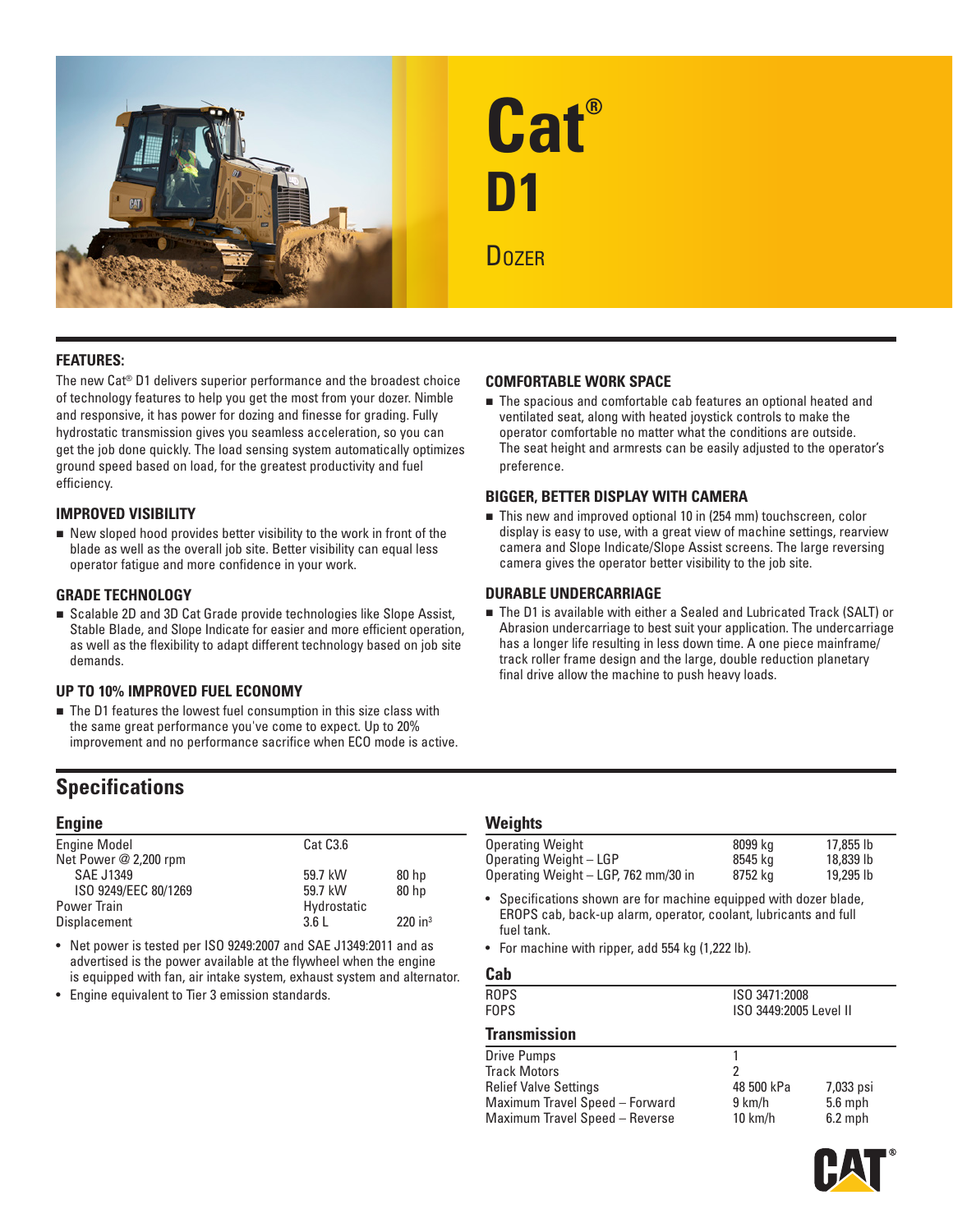



# **FEATURES:**

The new Cat® D1 delivers superior performance and the broadest choice of technology features to help you get the most from your dozer. Nimble and responsive, it has power for dozing and finesse for grading. Fully hydrostatic transmission gives you seamless acceleration, so you can get the job done quickly. The load sensing system automatically optimizes ground speed based on load, for the greatest productivity and fuel efficiency.

### **IMPROVED VISIBILITY**

 $\blacksquare$  New sloped hood provides better visibility to the work in front of the blade as well as the overall job site. Better visibility can equal less operator fatigue and more confidence in your work.

#### **GRADE TECHNOLOGY**

■ Scalable 2D and 3D Cat Grade provide technologies like Slope Assist, Stable Blade, and Slope Indicate for easier and more efficient operation, as well as the flexibility to adapt different technology based on job site demands.

### **UP TO 10% IMPROVED FUEL ECONOMY**

■ The D1 features the lowest fuel consumption in this size class with the same great performance you've come to expect. Up to 20% improvement and no performance sacrifice when ECO mode is active.

# **Specifications**

### **Engine**

| <b>Engine Model</b>   | Cat C <sub>3.6</sub> |                       |
|-----------------------|----------------------|-----------------------|
| Net Power @ 2,200 rpm |                      |                       |
| <b>SAE J1349</b>      | 59.7 kW              | 80 <sub>hp</sub>      |
| ISO 9249/EEC 80/1269  | 59.7 kW              | 80 <sub>hp</sub>      |
| Power Train           | Hydrostatic          |                       |
| Displacement          | 3.6L                 | $220$ in <sup>3</sup> |

• Net power is tested per ISO 9249:2007 and SAE J1349:2011 and as advertised is the power available at the flywheel when the engine is equipped with fan, air intake system, exhaust system and alternator.

• Engine equivalent to Tier 3 emission standards.

### **COMFORTABLE WORK SPACE**

 $\blacksquare$  The spacious and comfortable cab features an optional heated and ventilated seat, along with heated joystick controls to make the operator comfortable no matter what the conditions are outside. The seat height and armrests can be easily adjusted to the operator's preference.

### **BIGGER, BETTER DISPLAY WITH CAMERA**

■ This new and improved optional 10 in (254 mm) touchscreen, color display is easy to use, with a great view of machine settings, rearview camera and Slope Indicate/Slope Assist screens. The large reversing camera gives the operator better visibility to the job site.

#### **DURABLE UNDERCARRIAGE**

 The D1 is available with either a Sealed and Lubricated Track (SALT) or Abrasion undercarriage to best suit your application. The undercarriage has a longer life resulting in less down time. A one piece mainframe/ track roller frame design and the large, double reduction planetary final drive allow the machine to push heavy loads.

### **Weights**

| Operating Weight                     | 8099 kg | 17,855 lb |
|--------------------------------------|---------|-----------|
| Operating Weight - LGP               | 8545 ka | 18,839 lb |
| Operating Weight - LGP, 762 mm/30 in | 8752 kg | 19,295 lb |

• Specifications shown are for machine equipped with dozer blade, EROPS cab, back-up alarm, operator, coolant, lubricants and full fuel tank.

• For machine with ripper, add 554 kg (1,222 lb).

# **Cab**

| <b>ROPS</b><br><b>FOPS</b>                                                                                                             | ISO 3471:2008<br>ISO 3449:2005 Level II        |                                     |  |
|----------------------------------------------------------------------------------------------------------------------------------------|------------------------------------------------|-------------------------------------|--|
| <b>Transmission</b>                                                                                                                    |                                                |                                     |  |
| Drive Pumps<br><b>Track Motors</b><br><b>Relief Valve Settings</b><br>Maximum Travel Speed - Forward<br>Maximum Travel Speed - Reverse | 2<br>48 500 kPa<br>9 km/h<br>$10 \text{ km/h}$ | 7,033 psi<br>$5.6$ mph<br>$6.2$ mph |  |
|                                                                                                                                        |                                                |                                     |  |

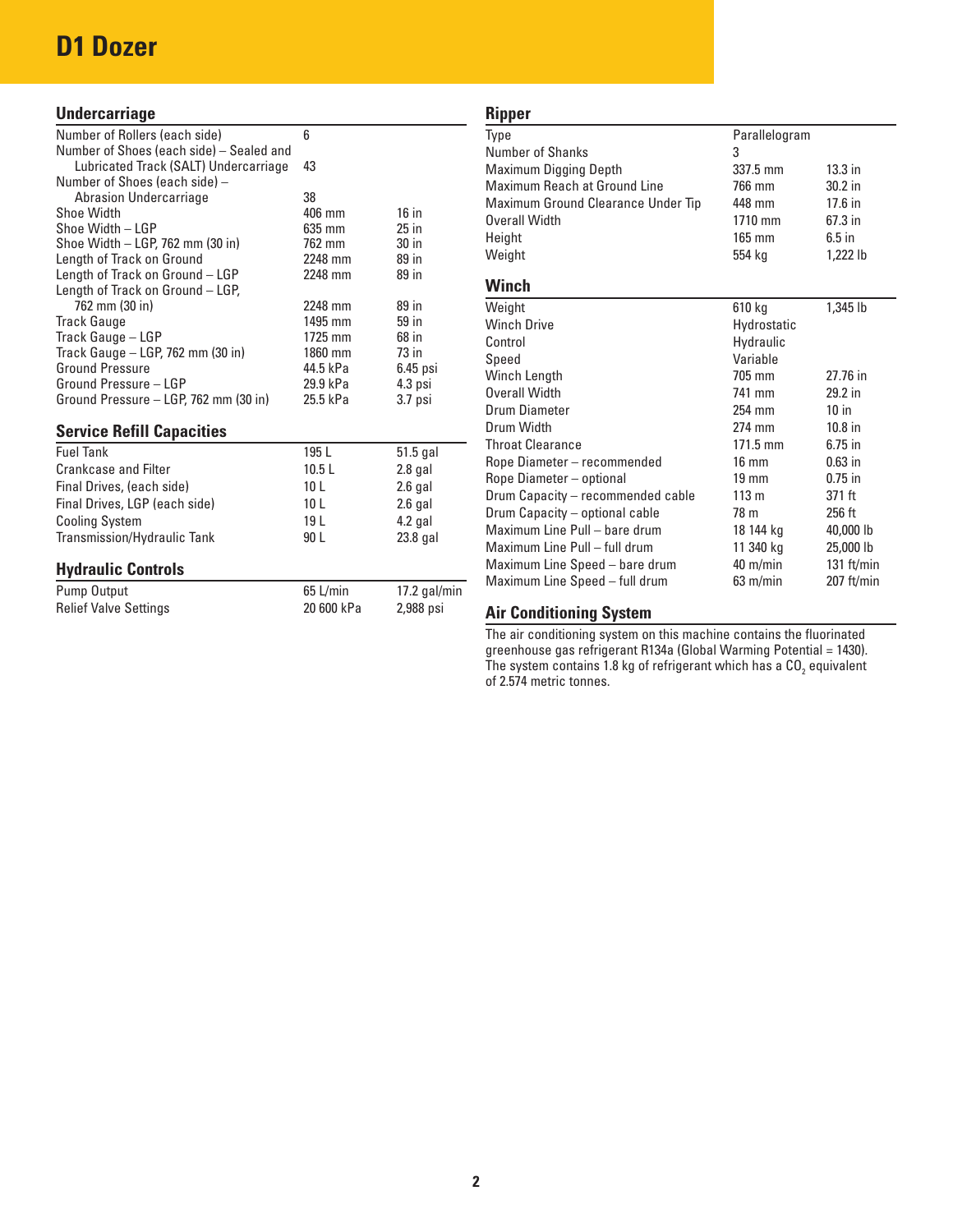# **D1 Dozer**

### **Undercarriage**

| Number of Rollers (each side)            | 6                |            |
|------------------------------------------|------------------|------------|
| Number of Shoes (each side) - Sealed and |                  |            |
| Lubricated Track (SALT) Undercarriage    | 43               |            |
| Number of Shoes (each side) –            |                  |            |
| Abrasion Undercarriage                   | 38               |            |
| Shoe Width                               | $406 \text{ mm}$ | $16$ in    |
| Shoe Width - LGP                         | 635 mm           | $25$ in    |
| Shoe Width - LGP, 762 mm (30 in)         | 762 mm           | 30 in      |
| Length of Track on Ground                | 2248 mm          | 89 in      |
| Length of Track on Ground - LGP          | 2248 mm          | 89 in      |
| Length of Track on Ground - LGP,         |                  |            |
| 762 mm (30 in)                           | 2248 mm          | 89 in      |
| <b>Track Gauge</b>                       | 1495 mm          | 59 in      |
| Track Gauge - LGP                        | 1725 mm          | 68 in      |
| Track Gauge $-$ LGP, 762 mm (30 in)      | 1860 mm          | 73 in      |
| <b>Ground Pressure</b>                   | 44.5 kPa         | $6.45$ psi |
| Ground Pressure - LGP                    | 29.9 kPa         | 4.3 psi    |
| Ground Pressure - LGP, 762 mm (30 in)    | 25.5 kPa         | 3.7 psi    |
|                                          |                  |            |

### **Service Refill Capacities**

| <b>Fuel Tank</b>              | 195 L           | $51.5$ gal |
|-------------------------------|-----------------|------------|
| <b>Crankcase and Filter</b>   | 10.5L           | $2.8$ gal  |
| Final Drives, (each side)     | 10 <sub>L</sub> | $2.6$ gal  |
| Final Drives, LGP (each side) | 10 <sub>L</sub> | $2.6$ gal  |
| <b>Cooling System</b>         | 19 I            | $4.2$ gal  |
| Transmission/Hydraulic Tank   | 90 L            | $23.8$ gal |

### **Hydraulic Controls**

| Pump Output                  | 65 L/min   | 17.2 gal/min |
|------------------------------|------------|--------------|
| <b>Relief Valve Settings</b> | 20 600 kPa | 2,988 psi    |

### **Ripper** Type **Parallelogram** Number of Shanks 3 Maximum Digging Depth 337.5 mm 13.3 in Maximum Reach at Ground Line 766 mm 30.2 in Maximum Ground Clearance Under Tip 448 mm 17.6 in Overall Width 1710 mm 67.3 in Height 165 mm 6.5 in Weight **1,222 lb Winch** Weight 610 kg 1,345 lb Winch Drive Electronic Muslim Hydrostatic<br>Control Hydraulic Hydraulic Speed Variable Winch Length 705 mm 27.76 in Overall Width 741 mm Drum Diameter 254 mm 10 in Drum Width 274 mm 10.8 in<br>
274 mm 10.8 in 271.5 mm 6.75 in **Throat Clearance** Rope Diameter – recommended 16 mm 0.63 in Rope Diameter – optional 19 mm 0.75 in Drum Capacity – recommended cable 113 m 371 ft Drum Capacity – optional cable 78 m 256 ft Maximum Line Pull – bare drum 18 144 kg 40,000 lb<br>Maximum Line Pull – full drum 11 340 kg 25,000 lb Maximum Line Pull – full drum Maximum Line Speed – bare drum 40 m/min 131 ft/min Maximum Line Speed – full drum 63 m/min 207 ft/min

### **Air Conditioning System**

The air conditioning system on this machine contains the fluorinated greenhouse gas refrigerant R134a (Global Warming Potential = 1430). The system contains 1.8 kg of refrigerant which has a CO<sub>2</sub> equivalent of 2.574 metric tonnes.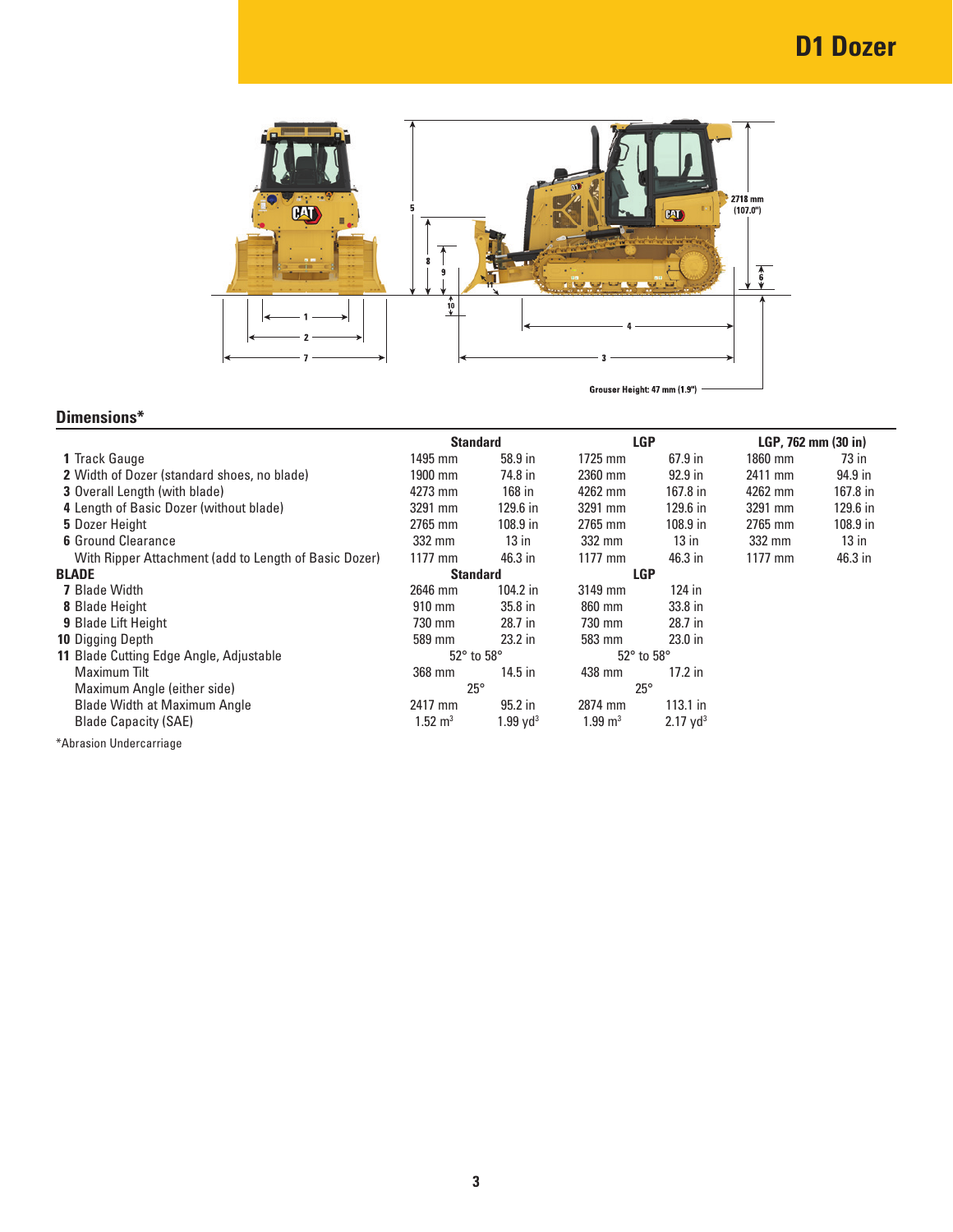

# **Dimensions\***

|                                                       | <b>Standard</b>              |                        | <b>LGP</b>                   |                        | LGP, 762 mm (30 in) |          |
|-------------------------------------------------------|------------------------------|------------------------|------------------------------|------------------------|---------------------|----------|
| 1 Track Gauge                                         | 1495 mm                      | 58.9 in                | $1725$ mm                    | $67.9$ in              | 1860 mm             | 73 in    |
| <b>2</b> Width of Dozer (standard shoes, no blade)    | 1900 mm                      | 74.8 in                | 2360 mm                      | $92.9$ in              | 2411 mm             | 94.9 in  |
| <b>3</b> Overall Length (with blade)                  | 4273 mm                      | 168 in                 | 4262 mm                      | 167.8 in               | 4262 mm             | 167.8 in |
| 4 Length of Basic Dozer (without blade)               | 3291 mm                      | 129.6 in               | 3291 mm                      | 129.6 in               | 3291 mm             | 129.6 in |
| 5 Dozer Height                                        | 2765 mm                      | $108.9$ in             | 2765 mm                      | $108.9$ in             | 2765 mm             | 108.9 in |
| <b>6</b> Ground Clearance                             | 332 mm                       | $13$ in                | 332 mm                       | $13$ in                | 332 mm              | $13$ in  |
| With Ripper Attachment (add to Length of Basic Dozer) | $1177$ mm                    | 46.3 in                | $1177$ mm                    | 46.3 in                | 1177 mm             | 46.3 in  |
| <b>BLADE</b>                                          | <b>Standard</b>              |                        | <b>LGP</b>                   |                        |                     |          |
| <b>7</b> Blade Width                                  | 2646 mm                      | $104.2$ in             | 3149 mm                      | 124 in                 |                     |          |
| <b>8 Blade Height</b>                                 | $910 \text{ mm}$             | 35.8 <sub>in</sub>     | 860 mm                       | 33.8 <sub>in</sub>     |                     |          |
| <b>9 Blade Lift Height</b>                            | 730 mm                       | 28.7 in                | 730 mm                       | 28.7 in                |                     |          |
| <b>10 Digging Depth</b>                               | 589 mm                       | $23.2$ in              | 583 mm                       | 23.0 <sub>in</sub>     |                     |          |
| 11 Blade Cutting Edge Angle, Adjustable               | $52^{\circ}$ to $58^{\circ}$ |                        | $52^{\circ}$ to $58^{\circ}$ |                        |                     |          |
| Maximum Tilt                                          | 368 mm                       | $14.5$ in              | 438 mm                       | $17.2$ in              |                     |          |
| Maximum Angle (either side)                           | $25^{\circ}$                 |                        | $25^{\circ}$                 |                        |                     |          |
| <b>Blade Width at Maximum Angle</b>                   | 2417 mm                      | $95.2$ in              | 2874 mm                      | $113.1$ in             |                     |          |
| <b>Blade Capacity (SAE)</b>                           | $1.52 \; \mathrm{m}^3$       | $1.99$ yd <sup>3</sup> | $1.99 \text{ m}^3$           | $2.17$ yd <sup>3</sup> |                     |          |
| *Abrasion Undercarriage                               |                              |                        |                              |                        |                     |          |